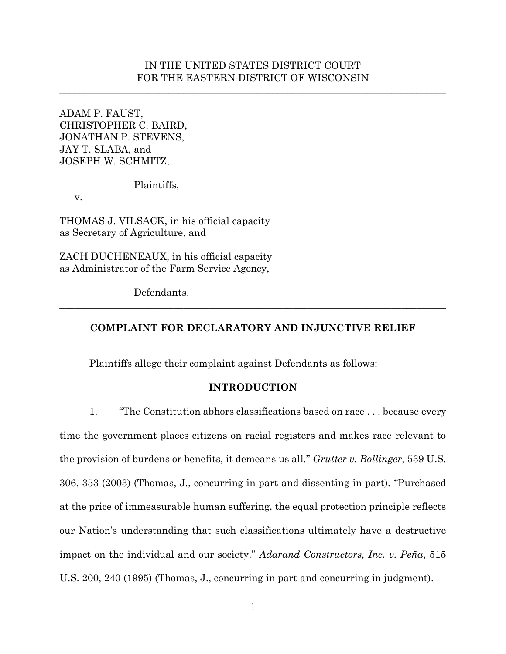## IN THE UNITED STATES DISTRICT COURT FOR THE EASTERN DISTRICT OF WISCONSIN

\_\_\_\_\_\_\_\_\_\_\_\_\_\_\_\_\_\_\_\_\_\_\_\_\_\_\_\_\_\_\_\_\_\_\_\_\_\_\_\_\_\_\_\_\_\_\_\_\_\_\_\_\_\_\_\_\_\_\_\_\_\_\_\_\_\_\_\_\_\_\_\_\_\_\_\_\_\_

ADAM P. FAUST, CHRISTOPHER C. BAIRD, JONATHAN P. STEVENS, JAY T. SLABA, and JOSEPH W. SCHMITZ,

Plaintiffs,

v.

THOMAS J. VILSACK, in his official capacity as Secretary of Agriculture, and

ZACH DUCHENEAUX, in his official capacity as Administrator of the Farm Service Agency,

Defendants.

# **COMPLAINT FOR DECLARATORY AND INJUNCTIVE RELIEF**  \_\_\_\_\_\_\_\_\_\_\_\_\_\_\_\_\_\_\_\_\_\_\_\_\_\_\_\_\_\_\_\_\_\_\_\_\_\_\_\_\_\_\_\_\_\_\_\_\_\_\_\_\_\_\_\_\_\_\_\_\_\_\_\_\_\_\_\_\_\_\_\_\_\_\_\_\_\_

\_\_\_\_\_\_\_\_\_\_\_\_\_\_\_\_\_\_\_\_\_\_\_\_\_\_\_\_\_\_\_\_\_\_\_\_\_\_\_\_\_\_\_\_\_\_\_\_\_\_\_\_\_\_\_\_\_\_\_\_\_\_\_\_\_\_\_\_\_\_\_\_\_\_\_\_\_\_

Plaintiffs allege their complaint against Defendants as follows:

### **INTRODUCTION**

1. "The Constitution abhors classifications based on race . . . because every time the government places citizens on racial registers and makes race relevant to the provision of burdens or benefits, it demeans us all." *Grutter v. Bollinger*, 539 U.S. 306, 353 (2003) (Thomas, J., concurring in part and dissenting in part). "Purchased at the price of immeasurable human suffering, the equal protection principle reflects our Nation's understanding that such classifications ultimately have a destructive impact on the individual and our society." *Adarand Constructors, Inc. v. Peña*, 515 U.S. 200, 240 (1995) (Thomas, J., concurring in part and concurring in judgment).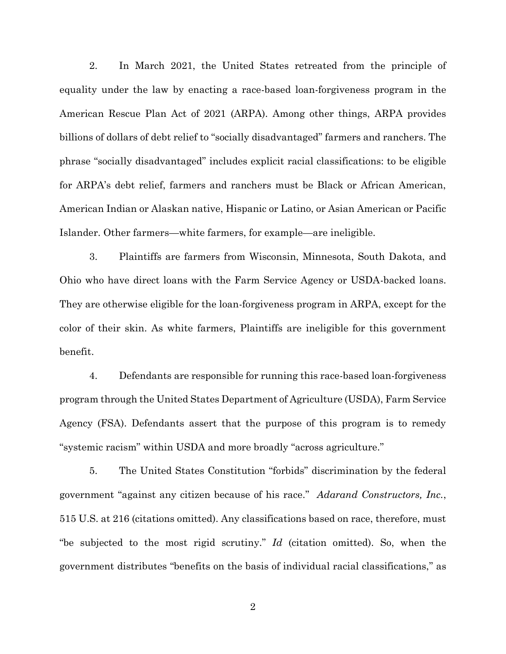2. In March 2021, the United States retreated from the principle of equality under the law by enacting a race-based loan-forgiveness program in the American Rescue Plan Act of 2021 (ARPA). Among other things, ARPA provides billions of dollars of debt relief to "socially disadvantaged" farmers and ranchers. The phrase "socially disadvantaged" includes explicit racial classifications: to be eligible for ARPA's debt relief, farmers and ranchers must be Black or African American, American Indian or Alaskan native, Hispanic or Latino, or Asian American or Pacific Islander. Other farmers—white farmers, for example—are ineligible.

3. Plaintiffs are farmers from Wisconsin, Minnesota, South Dakota, and Ohio who have direct loans with the Farm Service Agency or USDA-backed loans. They are otherwise eligible for the loan-forgiveness program in ARPA, except for the color of their skin. As white farmers, Plaintiffs are ineligible for this government benefit.

4. Defendants are responsible for running this race-based loan-forgiveness program through the United States Department of Agriculture (USDA), Farm Service Agency (FSA). Defendants assert that the purpose of this program is to remedy "systemic racism" within USDA and more broadly "across agriculture."

5. The United States Constitution "forbids" discrimination by the federal government "against any citizen because of his race." *Adarand Constructors, Inc.*, 515 U.S. at 216 (citations omitted). Any classifications based on race, therefore, must "be subjected to the most rigid scrutiny." *Id* (citation omitted). So, when the government distributes "benefits on the basis of individual racial classifications," as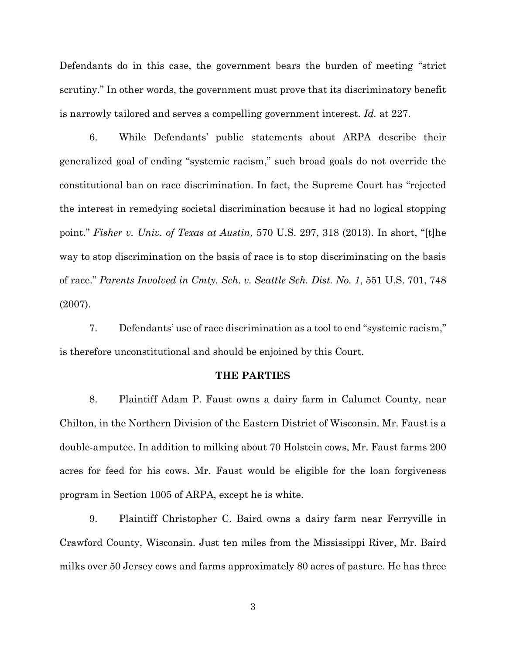Defendants do in this case, the government bears the burden of meeting "strict scrutiny." In other words, the government must prove that its discriminatory benefit is narrowly tailored and serves a compelling government interest. *Id.* at 227.

6. While Defendants' public statements about ARPA describe their generalized goal of ending "systemic racism," such broad goals do not override the constitutional ban on race discrimination. In fact, the Supreme Court has "rejected the interest in remedying societal discrimination because it had no logical stopping point." *Fisher v. Univ. of Texas at Austin*, 570 U.S. 297, 318 (2013). In short, "[t]he way to stop discrimination on the basis of race is to stop discriminating on the basis of race." *Parents Involved in Cmty. Sch. v. Seattle Sch. Dist. No. 1*, 551 U.S. 701, 748 (2007).

7. Defendants' use of race discrimination as a tool to end "systemic racism," is therefore unconstitutional and should be enjoined by this Court.

#### **THE PARTIES**

8. Plaintiff Adam P. Faust owns a dairy farm in Calumet County, near Chilton, in the Northern Division of the Eastern District of Wisconsin. Mr. Faust is a double-amputee. In addition to milking about 70 Holstein cows, Mr. Faust farms 200 acres for feed for his cows. Mr. Faust would be eligible for the loan forgiveness program in Section 1005 of ARPA, except he is white.

9. Plaintiff Christopher C. Baird owns a dairy farm near Ferryville in Crawford County, Wisconsin. Just ten miles from the Mississippi River, Mr. Baird milks over 50 Jersey cows and farms approximately 80 acres of pasture. He has three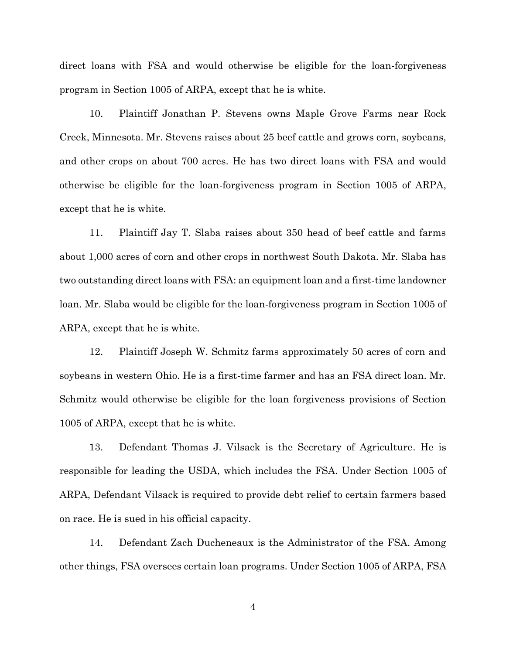direct loans with FSA and would otherwise be eligible for the loan-forgiveness program in Section 1005 of ARPA, except that he is white.

10. Plaintiff Jonathan P. Stevens owns Maple Grove Farms near Rock Creek, Minnesota. Mr. Stevens raises about 25 beef cattle and grows corn, soybeans, and other crops on about 700 acres. He has two direct loans with FSA and would otherwise be eligible for the loan-forgiveness program in Section 1005 of ARPA, except that he is white.

11. Plaintiff Jay T. Slaba raises about 350 head of beef cattle and farms about 1,000 acres of corn and other crops in northwest South Dakota. Mr. Slaba has two outstanding direct loans with FSA: an equipment loan and a first-time landowner loan. Mr. Slaba would be eligible for the loan-forgiveness program in Section 1005 of ARPA, except that he is white.

12. Plaintiff Joseph W. Schmitz farms approximately 50 acres of corn and soybeans in western Ohio. He is a first-time farmer and has an FSA direct loan. Mr. Schmitz would otherwise be eligible for the loan forgiveness provisions of Section 1005 of ARPA, except that he is white.

13. Defendant Thomas J. Vilsack is the Secretary of Agriculture. He is responsible for leading the USDA, which includes the FSA. Under Section 1005 of ARPA, Defendant Vilsack is required to provide debt relief to certain farmers based on race. He is sued in his official capacity.

14. Defendant Zach Ducheneaux is the Administrator of the FSA. Among other things, FSA oversees certain loan programs. Under Section 1005 of ARPA, FSA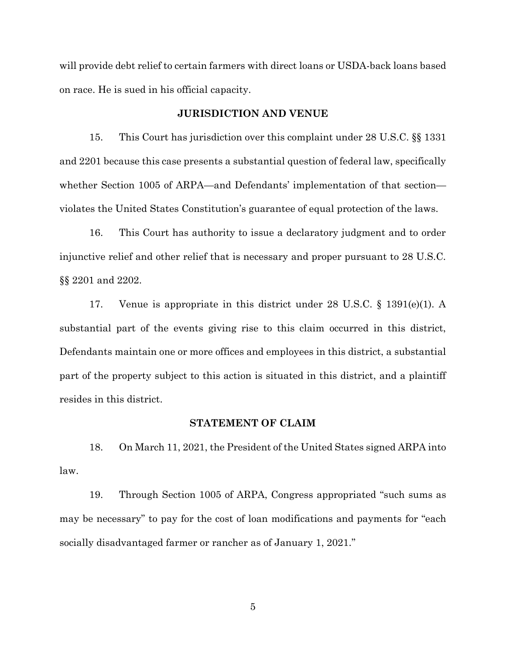will provide debt relief to certain farmers with direct loans or USDA-back loans based on race. He is sued in his official capacity.

#### **JURISDICTION AND VENUE**

15. This Court has jurisdiction over this complaint under 28 U.S.C. §§ 1331 and 2201 because this case presents a substantial question of federal law, specifically whether Section 1005 of ARPA—and Defendants' implementation of that section violates the United States Constitution's guarantee of equal protection of the laws.

16. This Court has authority to issue a declaratory judgment and to order injunctive relief and other relief that is necessary and proper pursuant to 28 U.S.C. §§ 2201 and 2202.

17. Venue is appropriate in this district under 28 U.S.C. § 1391(e)(1). A substantial part of the events giving rise to this claim occurred in this district, Defendants maintain one or more offices and employees in this district, a substantial part of the property subject to this action is situated in this district, and a plaintiff resides in this district.

#### **STATEMENT OF CLAIM**

18. On March 11, 2021, the President of the United States signed ARPA into law.

19. Through Section 1005 of ARPA, Congress appropriated "such sums as may be necessary" to pay for the cost of loan modifications and payments for "each socially disadvantaged farmer or rancher as of January 1, 2021."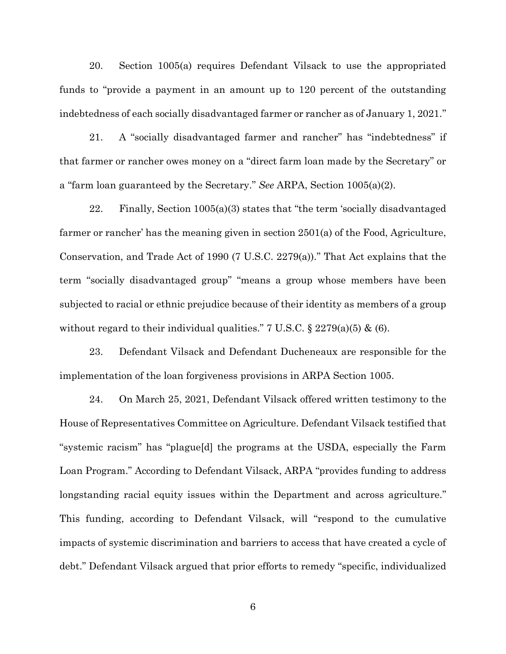20. Section 1005(a) requires Defendant Vilsack to use the appropriated funds to "provide a payment in an amount up to 120 percent of the outstanding indebtedness of each socially disadvantaged farmer or rancher as of January 1, 2021."

21. A "socially disadvantaged farmer and rancher" has "indebtedness" if that farmer or rancher owes money on a "direct farm loan made by the Secretary" or a "farm loan guaranteed by the Secretary." *See* ARPA, Section 1005(a)(2).

22. Finally, Section 1005(a)(3) states that "the term 'socially disadvantaged farmer or rancher' has the meaning given in section 2501(a) of the Food, Agriculture, Conservation, and Trade Act of 1990 (7 U.S.C. 2279(a))." That Act explains that the term "socially disadvantaged group" "means a group whose members have been subjected to racial or ethnic prejudice because of their identity as members of a group without regard to their individual qualities." 7 U.S.C.  $\S 2279(a)(5) \& (6)$ .

23. Defendant Vilsack and Defendant Ducheneaux are responsible for the implementation of the loan forgiveness provisions in ARPA Section 1005.

24. On March 25, 2021, Defendant Vilsack offered written testimony to the House of Representatives Committee on Agriculture. Defendant Vilsack testified that "systemic racism" has "plague[d] the programs at the USDA, especially the Farm Loan Program." According to Defendant Vilsack, ARPA "provides funding to address longstanding racial equity issues within the Department and across agriculture." This funding, according to Defendant Vilsack, will "respond to the cumulative impacts of systemic discrimination and barriers to access that have created a cycle of debt." Defendant Vilsack argued that prior efforts to remedy "specific, individualized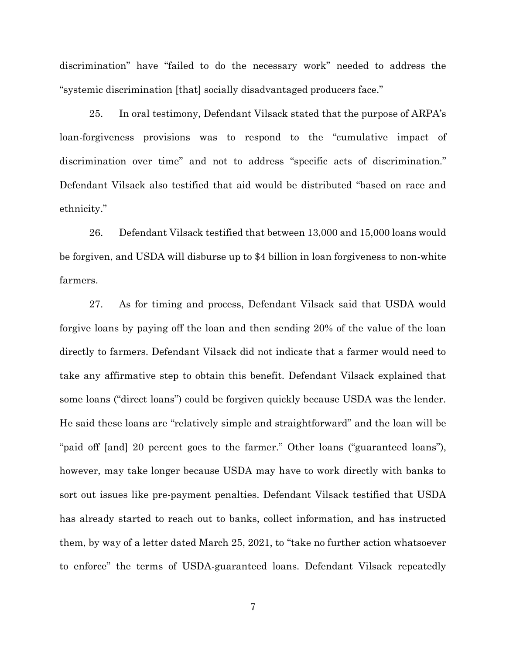discrimination" have "failed to do the necessary work" needed to address the "systemic discrimination [that] socially disadvantaged producers face."

25. In oral testimony, Defendant Vilsack stated that the purpose of ARPA's loan-forgiveness provisions was to respond to the "cumulative impact of discrimination over time" and not to address "specific acts of discrimination." Defendant Vilsack also testified that aid would be distributed "based on race and ethnicity."

26. Defendant Vilsack testified that between 13,000 and 15,000 loans would be forgiven, and USDA will disburse up to \$4 billion in loan forgiveness to non-white farmers.

27. As for timing and process, Defendant Vilsack said that USDA would forgive loans by paying off the loan and then sending 20% of the value of the loan directly to farmers. Defendant Vilsack did not indicate that a farmer would need to take any affirmative step to obtain this benefit. Defendant Vilsack explained that some loans ("direct loans") could be forgiven quickly because USDA was the lender. He said these loans are "relatively simple and straightforward" and the loan will be "paid off [and] 20 percent goes to the farmer." Other loans ("guaranteed loans"), however, may take longer because USDA may have to work directly with banks to sort out issues like pre-payment penalties. Defendant Vilsack testified that USDA has already started to reach out to banks, collect information, and has instructed them, by way of a letter dated March 25, 2021, to "take no further action whatsoever to enforce" the terms of USDA-guaranteed loans. Defendant Vilsack repeatedly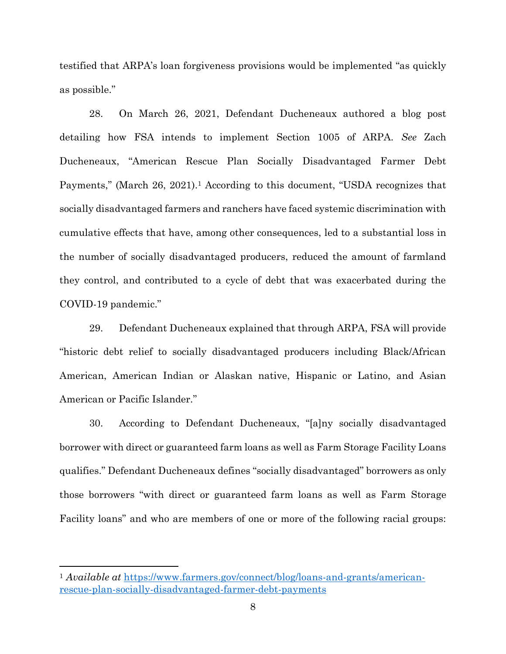testified that ARPA's loan forgiveness provisions would be implemented "as quickly as possible."

28. On March 26, 2021, Defendant Ducheneaux authored a blog post detailing how FSA intends to implement Section 1005 of ARPA. *See* Zach Ducheneaux, "American Rescue Plan Socially Disadvantaged Farmer Debt Payments," (March 26, 2021).<sup>1</sup> According to this document, "USDA recognizes that socially disadvantaged farmers and ranchers have faced systemic discrimination with cumulative effects that have, among other consequences, led to a substantial loss in the number of socially disadvantaged producers, reduced the amount of farmland they control, and contributed to a cycle of debt that was exacerbated during the COVID-19 pandemic."

29. Defendant Ducheneaux explained that through ARPA, FSA will provide "historic debt relief to socially disadvantaged producers including Black/African American, American Indian or Alaskan native, Hispanic or Latino, and Asian American or Pacific Islander."

30. According to Defendant Ducheneaux, "[a]ny socially disadvantaged borrower with direct or guaranteed farm loans as well as Farm Storage Facility Loans qualifies." Defendant Ducheneaux defines "socially disadvantaged" borrowers as only those borrowers "with direct or guaranteed farm loans as well as Farm Storage Facility loans" and who are members of one or more of the following racial groups:

<sup>1</sup> *Available at* https://www.farmers.gov/connect/blog/loans-and-grants/americanrescue-plan-socially-disadvantaged-farmer-debt-payments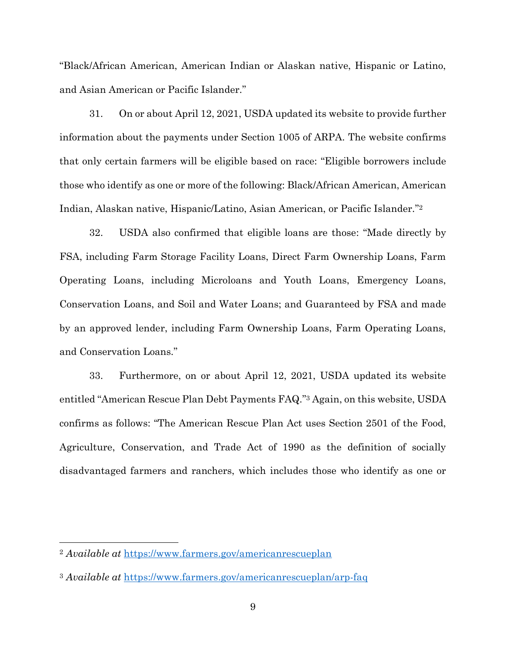"Black/African American, American Indian or Alaskan native, Hispanic or Latino, and Asian American or Pacific Islander."

31. On or about April 12, 2021, USDA updated its website to provide further information about the payments under Section 1005 of ARPA. The website confirms that only certain farmers will be eligible based on race: "Eligible borrowers include those who identify as one or more of the following: Black/African American, American Indian, Alaskan native, Hispanic/Latino, Asian American, or Pacific Islander." 2

32. USDA also confirmed that eligible loans are those: "Made directly by FSA, including Farm Storage Facility Loans, Direct Farm Ownership Loans, Farm Operating Loans, including Microloans and Youth Loans, Emergency Loans, Conservation Loans, and Soil and Water Loans; and Guaranteed by FSA and made by an approved lender, including Farm Ownership Loans, Farm Operating Loans, and Conservation Loans."

33. Furthermore, on or about April 12, 2021, USDA updated its website entitled "American Rescue Plan Debt Payments FAQ." <sup>3</sup> Again, on this website, USDA confirms as follows: "The American Rescue Plan Act uses Section 2501 of the Food, Agriculture, Conservation, and Trade Act of 1990 as the definition of socially disadvantaged farmers and ranchers, which includes those who identify as one or

<sup>2</sup> *Available at* https://www.farmers.gov/americanrescueplan

<sup>3</sup> *Available at* https://www.farmers.gov/americanrescueplan/arp-faq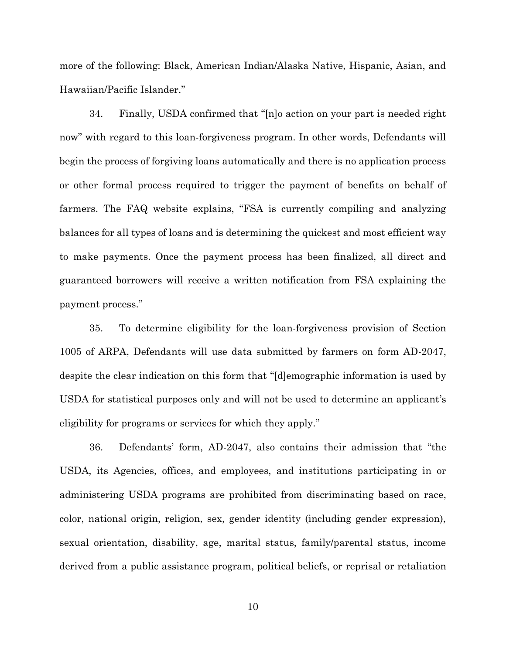more of the following: Black, American Indian/Alaska Native, Hispanic, Asian, and Hawaiian/Pacific Islander."

34. Finally, USDA confirmed that "[n]o action on your part is needed right now" with regard to this loan-forgiveness program. In other words, Defendants will begin the process of forgiving loans automatically and there is no application process or other formal process required to trigger the payment of benefits on behalf of farmers. The FAQ website explains, "FSA is currently compiling and analyzing balances for all types of loans and is determining the quickest and most efficient way to make payments. Once the payment process has been finalized, all direct and guaranteed borrowers will receive a written notification from FSA explaining the payment process."

35. To determine eligibility for the loan-forgiveness provision of Section 1005 of ARPA, Defendants will use data submitted by farmers on form AD-2047, despite the clear indication on this form that "[d]emographic information is used by USDA for statistical purposes only and will not be used to determine an applicant's eligibility for programs or services for which they apply."

36. Defendants' form, AD-2047, also contains their admission that "the USDA, its Agencies, offices, and employees, and institutions participating in or administering USDA programs are prohibited from discriminating based on race, color, national origin, religion, sex, gender identity (including gender expression), sexual orientation, disability, age, marital status, family/parental status, income derived from a public assistance program, political beliefs, or reprisal or retaliation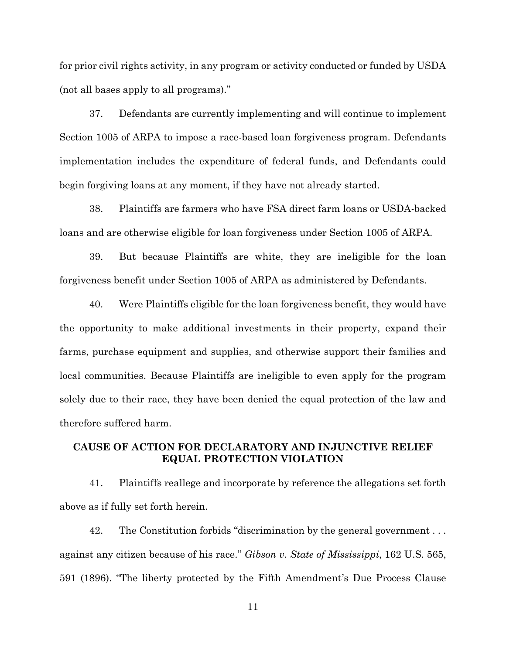for prior civil rights activity, in any program or activity conducted or funded by USDA (not all bases apply to all programs)."

37. Defendants are currently implementing and will continue to implement Section 1005 of ARPA to impose a race-based loan forgiveness program. Defendants implementation includes the expenditure of federal funds, and Defendants could begin forgiving loans at any moment, if they have not already started.

38. Plaintiffs are farmers who have FSA direct farm loans or USDA-backed loans and are otherwise eligible for loan forgiveness under Section 1005 of ARPA.

39. But because Plaintiffs are white, they are ineligible for the loan forgiveness benefit under Section 1005 of ARPA as administered by Defendants.

40. Were Plaintiffs eligible for the loan forgiveness benefit, they would have the opportunity to make additional investments in their property, expand their farms, purchase equipment and supplies, and otherwise support their families and local communities. Because Plaintiffs are ineligible to even apply for the program solely due to their race, they have been denied the equal protection of the law and therefore suffered harm.

# **CAUSE OF ACTION FOR DECLARATORY AND INJUNCTIVE RELIEF EQUAL PROTECTION VIOLATION**

41. Plaintiffs reallege and incorporate by reference the allegations set forth above as if fully set forth herein.

42. The Constitution forbids "discrimination by the general government . . . against any citizen because of his race." *Gibson v. State of Mississippi*, 162 U.S. 565, 591 (1896). "The liberty protected by the Fifth Amendment's Due Process Clause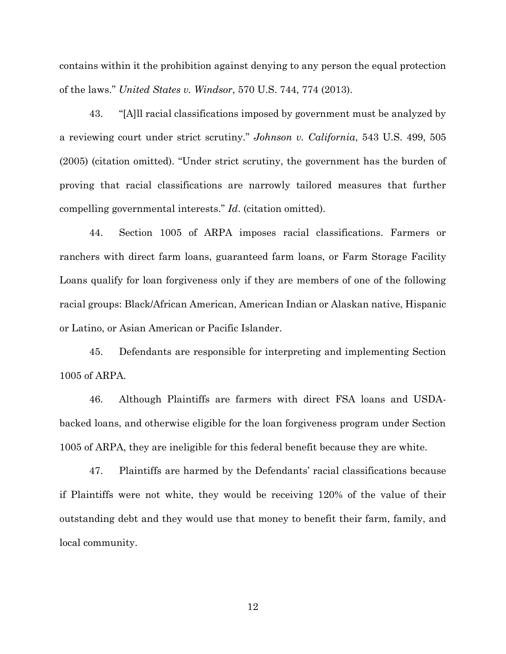contains within it the prohibition against denying to any person the equal protection of the laws." *United States v. Windsor*, 570 U.S. 744, 774 (2013).

43. "[A]ll racial classifications imposed by government must be analyzed by a reviewing court under strict scrutiny." *Johnson v. California*, 543 U.S. 499, 505 (2005) (citation omitted). "Under strict scrutiny, the government has the burden of proving that racial classifications are narrowly tailored measures that further compelling governmental interests." *Id*. (citation omitted).

44. Section 1005 of ARPA imposes racial classifications. Farmers or ranchers with direct farm loans, guaranteed farm loans, or Farm Storage Facility Loans qualify for loan forgiveness only if they are members of one of the following racial groups: Black/African American, American Indian or Alaskan native, Hispanic or Latino, or Asian American or Pacific Islander.

45. Defendants are responsible for interpreting and implementing Section 1005 of ARPA.

46. Although Plaintiffs are farmers with direct FSA loans and USDAbacked loans, and otherwise eligible for the loan forgiveness program under Section 1005 of ARPA, they are ineligible for this federal benefit because they are white.

47. Plaintiffs are harmed by the Defendants' racial classifications because if Plaintiffs were not white, they would be receiving 120% of the value of their outstanding debt and they would use that money to benefit their farm, family, and local community.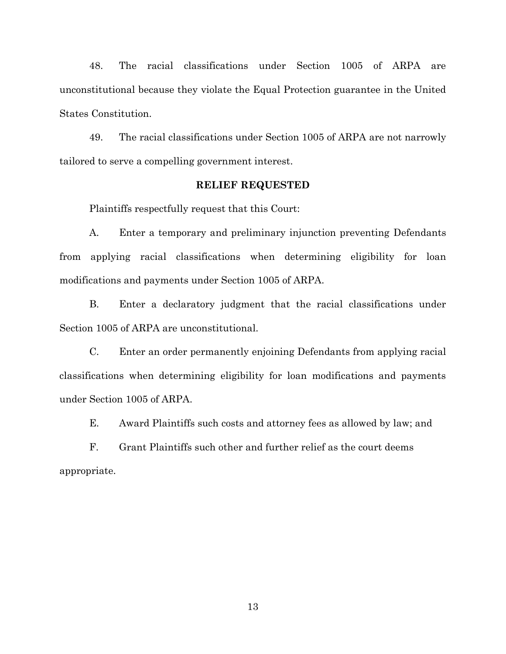48. The racial classifications under Section 1005 of ARPA are unconstitutional because they violate the Equal Protection guarantee in the United States Constitution.

49. The racial classifications under Section 1005 of ARPA are not narrowly tailored to serve a compelling government interest.

#### **RELIEF REQUESTED**

Plaintiffs respectfully request that this Court:

A. Enter a temporary and preliminary injunction preventing Defendants from applying racial classifications when determining eligibility for loan modifications and payments under Section 1005 of ARPA.

B. Enter a declaratory judgment that the racial classifications under Section 1005 of ARPA are unconstitutional.

C. Enter an order permanently enjoining Defendants from applying racial classifications when determining eligibility for loan modifications and payments under Section 1005 of ARPA.

E. Award Plaintiffs such costs and attorney fees as allowed by law; and

 F. Grant Plaintiffs such other and further relief as the court deems appropriate.